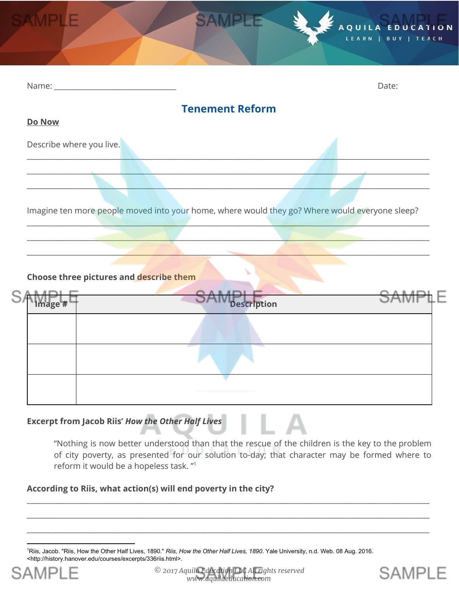|                          |                        | AQUILA EDUCATION<br>LEARN   BUY   TEACH |
|--------------------------|------------------------|-----------------------------------------|
|                          |                        |                                         |
| Name:                    |                        | Date:                                   |
|                          | <b>Tenement Reform</b> |                                         |
| Do Now                   |                        |                                         |
| Describe where you live. |                        |                                         |

\_\_\_\_\_\_\_\_\_\_\_\_\_\_\_\_\_\_\_\_\_\_\_\_\_\_\_\_\_\_\_\_\_\_\_\_\_\_\_\_\_\_\_\_\_\_\_\_\_\_\_\_\_\_\_\_\_\_\_\_\_\_\_\_\_\_\_\_\_\_\_\_\_\_\_\_\_\_\_\_\_\_\_\_\_\_\_\_\_\_\_\_\_\_\_\_\_\_\_\_\_\_\_\_\_\_\_\_\_ \_\_\_\_\_\_\_\_\_\_\_\_\_\_\_\_\_\_\_\_\_\_\_\_\_\_\_\_\_\_\_\_\_\_\_\_\_\_\_\_\_\_\_\_\_\_\_\_\_\_\_\_\_\_\_\_\_\_\_\_\_\_\_\_\_\_\_\_\_\_\_\_\_\_\_\_\_\_\_\_\_\_\_\_\_\_\_\_\_\_\_\_\_\_\_\_\_\_\_\_\_\_\_\_\_\_\_\_\_  $\Box$  . The contribution of the contribution of the contribution of the contribution of the contribution of the contribution of the contribution of the contribution of the contribution of the contribution of the contributi

Imagine ten more people moved into your home, where would they go? Where would everyone sleep?  $\Box$  and the contribution of the contribution of the contribution of the contribution of the contribution of the contribution of the contribution of the contribution of the contribution of the contribution of the contribu

 $\mathcal{L}$  , and the set of the set of the set of the set of the set of the set of the set of the set of the set of the set of the set of the set of the set of the set of the set of the set of the set of the set of the set  $\Box$  . The contract of the contract of the contract of the contract of the contract of the contract of the contract of the contract of the contract of the contract of the contract of the contract of the contract of the co

#### **Choose three pictures and describe them**

| r | Image # | A B A m I<br>Description                         |  |
|---|---------|--------------------------------------------------|--|
|   |         |                                                  |  |
|   |         |                                                  |  |
|   |         | and the company's company's company's production |  |

## **Excerpt from Jacob Riis'** *How the Other Half Lives*

"Nothing is now better understood than that the rescue of the children is the key to the problem of city poverty, as presented for our solution to-day; that character may be formed where to reform it would be a hopeless task. " 1

#### **According to Riis, what action(s) will end poverty in the city?**

<sup>1</sup>Riis, Jacob. "Riis, How the Other Half Lives, 1890." *Riis, How the Other Half Lives, 1890*. Yale University, n.d. Web. 08 Aug. 2016. <http://history.hanover.edu/courses/excerpts/336riis.html>.



*© 2017 Aquila Education LLC All rights reserved www.aquilaeducation.com*

\_\_\_\_\_\_\_\_\_\_\_\_\_\_\_\_\_\_\_\_\_\_\_\_\_\_\_\_\_\_\_\_\_\_\_\_\_\_\_\_\_\_\_\_\_\_\_\_\_\_\_\_\_\_\_\_\_\_\_\_\_\_\_\_\_\_\_\_\_\_\_\_\_\_\_\_\_\_\_\_\_\_\_\_\_\_\_\_\_\_\_\_\_\_\_\_\_\_\_\_\_\_\_\_\_\_\_\_\_ \_\_\_\_\_\_\_\_\_\_\_\_\_\_\_\_\_\_\_\_\_\_\_\_\_\_\_\_\_\_\_\_\_\_\_\_\_\_\_\_\_\_\_\_\_\_\_\_\_\_\_\_\_\_\_\_\_\_\_\_\_\_\_\_\_\_\_\_\_\_\_\_\_\_\_\_\_\_\_\_\_\_\_\_\_\_\_\_\_\_\_\_\_\_\_\_\_\_\_\_\_\_\_\_\_\_\_\_\_ \_\_\_\_\_\_\_\_\_\_\_\_\_\_\_\_\_\_\_\_\_\_\_\_\_\_\_\_\_\_\_\_\_\_\_\_\_\_\_\_\_\_\_\_\_\_\_\_\_\_\_\_\_\_\_\_\_\_\_\_\_\_\_\_\_\_\_\_\_\_\_\_\_\_\_\_\_\_\_\_\_\_\_\_\_\_\_\_\_\_\_\_\_\_\_\_\_\_\_\_\_\_\_\_\_\_\_\_\_

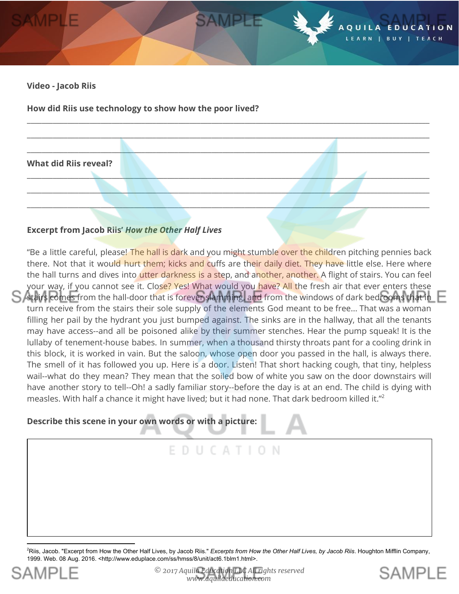

**How did Riis use technology to show how the poor lived?**



\_\_\_\_\_\_\_\_\_\_\_\_\_\_\_\_\_\_\_\_\_\_\_\_\_\_\_\_\_\_\_\_\_\_\_\_\_\_\_\_\_\_\_\_\_\_\_\_\_\_\_\_\_\_\_\_\_\_\_\_\_\_\_\_\_\_\_\_\_\_\_\_\_\_\_\_\_\_\_\_\_\_\_\_\_\_\_\_\_\_\_\_\_\_\_\_\_\_\_\_\_\_\_\_\_\_\_\_\_

#### **Excerpt from Jacob Riis'** *How the Other Half Lives*

"Be a little careful, please! The hall is dark and you might stumble over the children pitching pennies back there. Not that it would hurt them; kicks and cuffs are their daily diet. They have little else. Here where the hall turns and dives into utter darkness is a step, and another, another. A flight of stairs. You can feel your way, if you cannot see it. Close? Yes! What would you have? All the fresh air that ever enters these stairs comes from the hall-door that is forever slamming, and from the windows of dark bedrooms that in turn receive from the stairs their sole supply of the elements God meant to be free... That was a woman filling her pail by the hydrant you just bumped against. The sinks are in the hallway, that all the tenants may have access--and all be poisoned alike by their summer stenches. Hear the pump squeak! It is the lullaby of tenement-house babes. In summer, when a thousand thirsty throats pant for a cooling drink in this block, it is worked in vain. But the saloon, whose open door you passed in the hall, is always there. The smell of it has followed you up. Here is a door. Listen! That short hacking cough, that tiny, helpless wail--what do they mean? They mean that the soiled bow of white you saw on the door downstairs will have another story to tell--Oh! a sadly familiar story--before the day is at an end. The child is dying with measles. With half a chance it might have lived; but it had none. That dark bedroom killed it." 2

E D U C A T I O N

#### **Describe this scene in your own words or with a picture:**

#### <sup>2</sup>Riis, Jacob. "Excerpt from How the Other Half Lives, by Jacob Riis." *Excerpts from How the Other Half Lives, by Jacob Riis*. Houghton Mifflin Company, 1999. Web. 08 Aug. 2016. <http://www.eduplace.com/ss/hmss/8/unit/act6.1blm1.html>.



**SAMPIF**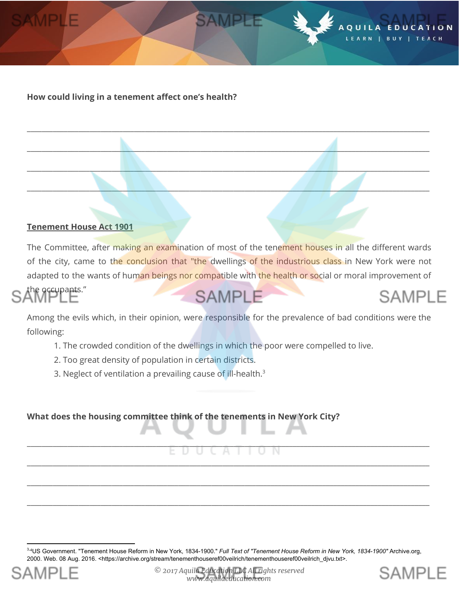

#### **Tenement House Act 1901**

The Committee, after making an examination of most of the tenement houses in all the different wards of the city, came to the conclusion that "the dwellings of the industrious class in New York were not adapted to the wants of human beings nor compatible with the health or social or moral improvement of

\_\_\_\_\_\_\_\_\_\_\_\_\_\_\_\_\_\_\_\_\_\_\_\_\_\_\_\_\_\_\_\_\_\_\_\_\_\_\_\_\_\_\_\_\_\_\_\_\_\_\_\_\_\_\_\_\_\_\_\_\_\_\_\_\_\_\_\_\_\_\_\_\_\_\_\_\_\_\_\_\_\_\_\_\_\_\_\_\_\_\_\_\_\_\_\_\_\_\_\_\_\_\_\_\_\_\_\_\_

SAMPLE

\_\_\_\_\_\_\_\_\_\_\_\_\_\_\_\_\_\_\_\_\_\_\_\_\_\_\_\_\_\_\_\_\_\_\_\_\_\_\_\_\_\_\_\_\_\_\_\_\_\_\_\_\_\_\_\_\_\_\_\_\_\_\_\_\_\_\_\_\_\_\_\_\_\_\_\_\_\_\_\_\_\_\_\_\_\_\_\_\_\_\_\_\_\_\_\_\_\_\_\_\_\_\_\_\_\_\_\_\_

\_\_\_\_\_\_\_\_\_\_\_\_\_\_\_\_\_\_\_\_\_\_\_\_\_\_\_\_\_\_\_\_\_\_\_\_\_\_\_\_\_\_\_\_\_\_\_\_\_\_\_\_\_\_\_\_\_\_\_\_\_\_\_\_\_\_\_\_\_\_\_\_\_\_\_\_\_\_\_\_\_\_\_\_\_\_\_\_\_\_\_\_\_\_\_\_\_\_\_\_\_\_\_\_\_\_\_\_\_

 $\Box$  . The second contribution of the second contribution of  $\Box$  . The second contribution of  $\Box$ 

the occupants." **SAMPLE SAMPLE** 

Among the evils which, in their opinion, were responsible for the prevalence of bad conditions were the following:

- 1. The crowded condition of the dwellings in which the poor were compelled to live.
- 2. Too great density of population in certain districts.
- 3. Neglect of ventilation a prevailing cause of ill-health.<sup>3</sup>

**What does the housing committee think of the tenements in New York City?**

# \_\_\_\_\_\_\_\_\_\_\_\_\_\_\_\_\_\_\_\_\_\_\_\_\_\_\_\_\_\_\_\_\_\_\_\_\_\_\_\_\_\_\_\_\_\_\_\_\_\_\_\_\_\_\_\_\_\_\_\_\_\_\_\_\_\_\_\_\_\_\_\_\_\_\_\_\_\_\_\_\_\_\_\_\_\_\_\_\_\_\_\_\_\_\_\_\_\_\_\_\_\_\_\_\_\_\_\_\_ \_\_\_\_\_\_\_\_\_\_\_\_\_\_\_\_\_\_\_\_\_\_\_\_\_\_\_\_\_\_\_\_\_\_\_\_\_\_\_\_\_\_\_\_\_\_\_\_\_\_\_\_\_\_\_\_\_\_\_\_\_\_\_\_\_\_\_\_\_\_\_\_\_\_\_\_\_\_\_\_\_\_\_\_\_\_\_\_\_\_\_\_\_\_\_\_\_\_\_\_\_\_\_\_\_\_\_\_\_

\_\_\_\_\_\_\_\_\_\_\_\_\_\_\_\_\_\_\_\_\_\_\_\_\_\_\_\_\_\_\_\_\_\_\_\_\_\_\_\_\_\_\_\_\_\_\_\_\_\_\_\_\_\_\_\_\_\_\_\_\_\_\_\_\_\_\_\_\_\_\_\_\_\_\_\_\_\_\_\_\_\_\_\_\_\_\_\_\_\_\_\_\_\_\_\_\_\_\_\_\_\_\_\_\_\_\_\_\_

\_\_\_\_\_\_\_\_\_\_\_\_\_\_\_\_\_\_\_\_\_\_\_\_\_\_\_\_\_\_\_\_\_\_\_\_\_\_\_\_\_\_\_\_\_\_\_\_\_\_\_\_\_\_\_\_\_\_\_\_\_\_\_\_\_\_\_\_\_\_\_\_\_\_\_\_\_\_\_\_\_\_\_\_\_\_\_\_\_\_\_\_\_\_\_\_\_\_\_\_\_\_\_\_\_\_\_\_\_

**SAMPIF** 

<sup>3-4</sup>US Government. "Tenement House Reform in New York, 1834-1900." *Full Text of "Tenement House Reform in New York, 1834-1900"* Archive.org, 2000. Web. 08 Aug. 2016. <https://archive.org/stream/tenementhouseref00veilrich/tenementhouseref00veilrich\_djvu.txt>.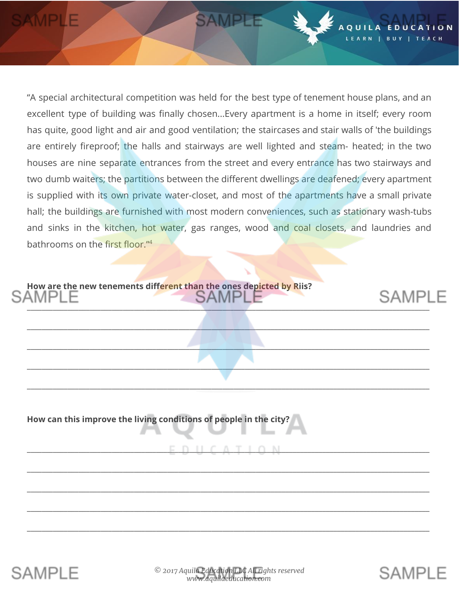"A special architectural competition was held for the best type of tenement house plans, and an excellent type of building was finally chosen...Every apartment is a home in itself; every room has quite, good light and air and good ventilation; the staircases and stair walls of 'the buildings are entirely fireproof; the halls and stairways are well lighted and steam- heated; in the two houses are nine separate entrances from the street and every entrance has two stairways and two dumb waiters; the partitions between the different dwellings are deafened; every apartment is supplied with its own private water-closet, and most of the apartments have a small private hall; the buildings are furnished with most modern conveniences, such as stationary wash-tubs and sinks in the kitchen, hot water, gas ranges, wood and coal closets, and laundries and bathrooms on the first floor."<sup>4</sup>

**SAMPLE** 

 $0111$ 

\_\_\_\_\_\_\_\_\_\_\_\_\_\_\_\_\_\_\_\_\_\_\_\_\_\_\_\_\_\_\_\_\_\_\_\_\_\_\_\_\_\_\_\_\_\_\_\_\_\_\_\_\_\_\_\_\_\_\_\_\_\_\_\_\_\_\_\_\_\_\_\_\_\_\_\_\_\_\_\_\_\_\_\_\_\_\_\_\_\_\_\_\_\_\_\_\_\_\_\_\_\_\_\_\_\_\_\_\_

 $\qquad \qquad \qquad -$ 

 $\_$  ,  $\_$  ,  $\_$  ,  $\_$  ,  $\_$  ,  $\_$  ,  $\_$  ,  $\_$  ,  $\_$  ,  $\_$  ,  $\_$  ,  $\_$  ,  $\_$  ,  $\_$  ,  $\_$  ,  $\_$  ,  $\_$  ,  $\_$  ,  $\_$  ,  $\_$  ,  $\_$  ,  $\_$  ,  $\_$  ,  $\_$  ,  $\_$  ,  $\_$  ,  $\_$  ,  $\_$  ,  $\_$  ,  $\_$  ,  $\_$  ,  $\_$  ,  $\_$  ,  $\_$  ,  $\_$  ,  $\_$  ,  $\_$  ,

\_\_\_\_\_\_\_\_\_\_\_\_\_\_\_\_\_\_\_\_\_\_\_\_\_\_\_\_\_\_\_\_\_\_\_\_\_\_\_\_\_\_\_\_\_\_\_\_\_\_\_\_\_\_\_\_\_\_\_\_\_\_\_\_\_\_\_\_\_\_\_\_\_\_\_\_\_\_\_\_\_\_\_\_\_\_\_\_\_\_\_\_\_\_\_\_\_\_\_\_\_\_\_\_\_\_\_\_\_

\_\_\_\_\_\_\_\_\_\_\_\_\_\_\_\_\_\_\_\_\_\_\_\_\_\_\_\_\_\_\_\_\_\_\_\_\_\_\_\_\_\_\_\_\_\_\_\_\_\_\_\_\_\_\_\_\_\_\_\_\_\_\_\_\_\_\_\_\_\_\_\_\_\_\_\_\_\_\_\_\_\_\_\_\_\_\_\_\_\_\_\_\_\_\_\_\_\_\_\_\_\_\_\_\_\_\_\_\_

\_\_\_\_\_\_\_\_\_\_\_\_\_\_\_\_\_\_\_\_\_\_\_\_\_\_\_\_\_\_\_\_\_\_\_\_\_\_\_\_\_\_\_\_\_\_\_\_\_\_\_\_\_\_\_\_\_\_\_\_\_\_\_\_\_\_\_\_\_\_\_\_\_\_\_\_\_\_\_\_\_\_\_\_\_\_\_\_\_\_\_\_\_\_\_\_\_\_\_\_\_\_\_\_\_\_\_\_\_

\_\_\_\_\_\_\_\_\_\_\_\_\_\_\_\_\_\_\_\_\_\_\_\_\_\_\_\_\_\_\_\_\_\_\_\_\_\_\_\_\_\_\_\_\_\_\_\_\_\_\_\_\_\_\_\_\_\_\_\_\_\_\_\_\_\_\_\_\_\_\_\_\_\_\_\_\_\_\_\_\_\_\_\_\_\_\_\_\_\_\_\_\_\_\_\_\_\_\_\_\_\_\_\_\_\_\_\_\_

\_\_\_\_\_\_\_\_\_\_\_\_\_\_\_\_\_\_\_\_\_\_\_\_\_\_\_\_\_\_\_\_\_\_\_\_\_\_\_\_\_\_\_\_\_\_\_\_\_\_\_\_\_\_\_\_\_\_\_\_\_\_\_\_\_\_\_\_\_\_\_\_\_\_\_\_\_\_\_\_\_\_\_\_\_\_\_\_\_\_\_\_\_\_\_\_\_\_\_\_\_\_\_\_\_\_\_\_\_

 $\begin{smallmatrix} \frown \Delta & \tau + \alpha & N \end{smallmatrix}$ 

**How are the new tenements different than the ones depicted by Riis?** \_\_\_\_\_\_\_\_\_\_\_\_\_\_\_\_\_\_\_\_\_\_\_\_\_\_\_\_\_\_\_\_\_\_\_\_\_\_\_\_\_\_\_\_\_\_\_\_\_\_\_\_\_\_\_\_\_\_\_\_\_\_\_\_\_\_\_\_\_\_\_\_\_\_\_\_\_\_\_\_\_\_\_\_\_\_\_\_\_\_\_\_\_\_\_\_\_\_\_\_\_\_\_\_\_\_\_\_\_

**How can this improve the living conditions of people in the city?**





**SAMPLE**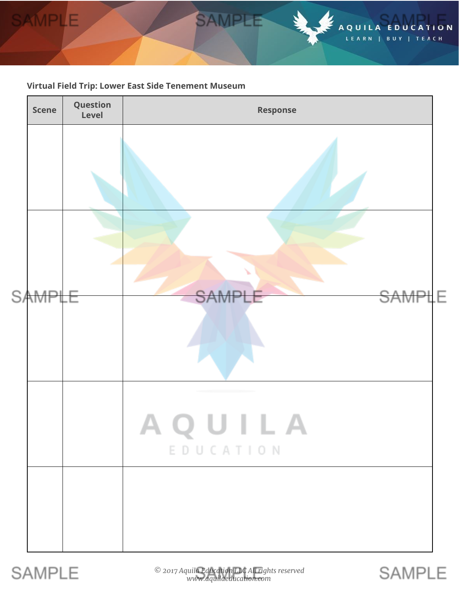

#### **Virtual Field Trip: Lower East Side Tenement Museum**



# **SAMPLE**

*© 2017 Aquila Education LLC All rights reserved www.aquilaeducation.com*

**SAMPLE**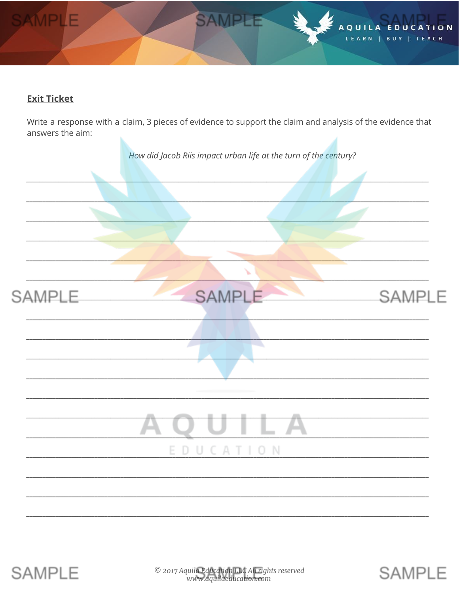

## **Exit Ticket**

Write a response with a claim, 3 pieces of evidence to support the claim and analysis of the evidence that answers the aim:





**SAMPLE**